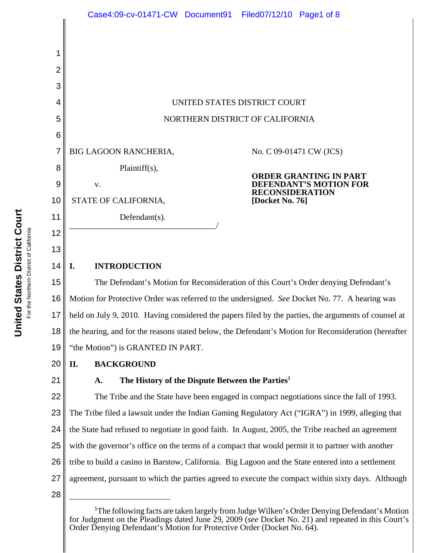

<sup>&</sup>lt;sup>1</sup>The following facts are taken largely from Judge Wilken's Order Denying Defendant's Motion for Judgment on the Pleadings dated June 29, 2009 (*see* Docket No. 21) and repeated in this Court's Order Denying Defendant's Motion for Protective Order (Docket No. 64).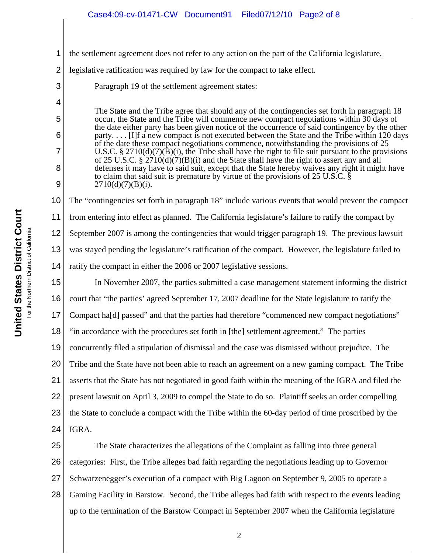3

4

5

6

7

8

9

1 the settlement agreement does not refer to any action on the part of the California legislature,

2 legislative ratification was required by law for the compact to take effect.

Paragraph 19 of the settlement agreement states:

The State and the Tribe agree that should any of the contingencies set forth in paragraph 18 occur, the State and the Tribe will commence new compact negotiations within 30 days of the date either party has been given notice of the occurrence of said contingency by the other party. . . . [I]f a new compact is not executed between the State and the Tribe within 120 days of the date these compact negotiations commence, notwithstanding the provisions of 25 U.S.C. § 2710(d)(7)( $\hat{B}$ )(i), the Tribe shall have the right to file suit pursuant to the provisions of 25 U.S.C. § 2710(d)(7)(B)(i) and the State shall have the right to assert any and all defenses it may have to said suit, except that the State hereby waives any right it might have to claim that said suit is premature by virtue of the provisions of 25 U.S.C. §  $2710(d)(7)(B)(i)$ .

10 11 12 13 14 The "contingencies set forth in paragraph 18" include various events that would prevent the compact from entering into effect as planned. The California legislature's failure to ratify the compact by September 2007 is among the contingencies that would trigger paragraph 19. The previous lawsuit was stayed pending the legislature's ratification of the compact. However, the legislature failed to ratify the compact in either the 2006 or 2007 legislative sessions.

15 16 17 18 19 20 21 22 23 24 In November 2007, the parties submitted a case management statement informing the district court that "the parties' agreed September 17, 2007 deadline for the State legislature to ratify the Compact ha[d] passed" and that the parties had therefore "commenced new compact negotiations" "in accordance with the procedures set forth in [the] settlement agreement." The parties concurrently filed a stipulation of dismissal and the case was dismissed without prejudice. The Tribe and the State have not been able to reach an agreement on a new gaming compact. The Tribe asserts that the State has not negotiated in good faith within the meaning of the IGRA and filed the present lawsuit on April 3, 2009 to compel the State to do so. Plaintiff seeks an order compelling the State to conclude a compact with the Tribe within the 60-day period of time proscribed by the IGRA.

25 26 27 28 The State characterizes the allegations of the Complaint as falling into three general categories: First, the Tribe alleges bad faith regarding the negotiations leading up to Governor Schwarzenegger's execution of a compact with Big Lagoon on September 9, 2005 to operate a Gaming Facility in Barstow. Second, the Tribe alleges bad faith with respect to the events leading up to the termination of the Barstow Compact in September 2007 when the California legislature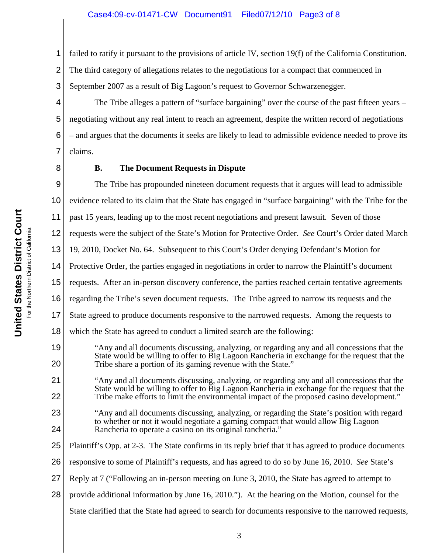1 2 3 failed to ratify it pursuant to the provisions of article IV, section 19(f) of the California Constitution. The third category of allegations relates to the negotiations for a compact that commenced in September 2007 as a result of Big Lagoon's request to Governor Schwarzenegger.

4 The Tribe alleges a pattern of "surface bargaining" over the course of the past fifteen years – negotiating without any real intent to reach an agreement, despite the written record of negotiations – and argues that the documents it seeks are likely to lead to admissible evidence needed to prove its claims.

8

5

6

7

19

20

21

22

25

# **B. The Document Requests in Dispute**

9 10 11 12 The Tribe has propounded nineteen document requests that it argues will lead to admissible evidence related to its claim that the State has engaged in "surface bargaining" with the Tribe for the past 15 years, leading up to the most recent negotiations and present lawsuit. Seven of those requests were the subject of the State's Motion for Protective Order. *See* Court's Order dated March

13 19, 2010, Docket No. 64. Subsequent to this Court's Order denying Defendant's Motion for

14 Protective Order, the parties engaged in negotiations in order to narrow the Plaintiff's document

- 15 requests. After an in-person discovery conference, the parties reached certain tentative agreements
- 16 regarding the Tribe's seven document requests. The Tribe agreed to narrow its requests and the
- 17 State agreed to produce documents responsive to the narrowed requests. Among the requests to
- 18 which the State has agreed to conduct a limited search are the following:
	- "Any and all documents discussing, analyzing, or regarding any and all concessions that the State would be willing to offer to Big Lagoon Rancheria in exchange for the request that the Tribe share a portion of its gaming revenue with the State."
	- "Any and all documents discussing, analyzing, or regarding any and all concessions that the State would be willing to offer to Big Lagoon Rancheria in exchange for the request that the Tribe make efforts to limit the environmental impact of the proposed casino development."
- 23 24 "Any and all documents discussing, analyzing, or regarding the State's position with regard to whether or not it would negotiate a gaming compact that would allow Big Lagoon Rancheria to operate a casino on its original rancheria."
	- Plaintiff's Opp. at 2-3. The State confirms in its reply brief that it has agreed to produce documents
- 26 responsive to some of Plaintiff's requests, and has agreed to do so by June 16, 2010. *See* State's
- 27 Reply at 7 ("Following an in-person meeting on June 3, 2010, the State has agreed to attempt to
- 28 provide additional information by June 16, 2010."). At the hearing on the Motion, counsel for the
	- State clarified that the State had agreed to search for documents responsive to the narrowed requests,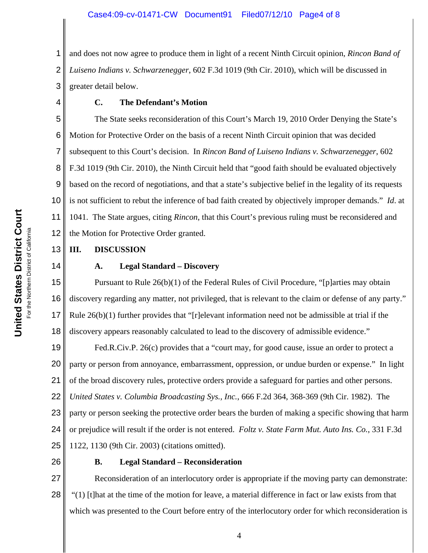1 2 3 and does not now agree to produce them in light of a recent Ninth Circuit opinion, *Rincon Band of Luiseno Indians v. Schwarzenegger*, 602 F.3d 1019 (9th Cir. 2010), which will be discussed in greater detail below.

4

# **C. The Defendant's Motion**

5 6 7 8 9 10 11 12 The State seeks reconsideration of this Court's March 19, 2010 Order Denying the State's Motion for Protective Order on the basis of a recent Ninth Circuit opinion that was decided subsequent to this Court's decision. In *Rincon Band of Luiseno Indians v. Schwarzenegger*, 602 F.3d 1019 (9th Cir. 2010), the Ninth Circuit held that "good faith should be evaluated objectively based on the record of negotiations, and that a state's subjective belief in the legality of its requests is not sufficient to rebut the inference of bad faith created by objectively improper demands." *Id*. at 1041. The State argues, citing *Rincon*, that this Court's previous ruling must be reconsidered and the Motion for Protective Order granted.

#### 13 **III. DISCUSSION**

14

# **A. Legal Standard – Discovery**

15 16 17 18 Pursuant to Rule 26(b)(1) of the Federal Rules of Civil Procedure, "[p]arties may obtain discovery regarding any matter, not privileged, that is relevant to the claim or defense of any party." Rule  $26(b)(1)$  further provides that "[r]elevant information need not be admissible at trial if the discovery appears reasonably calculated to lead to the discovery of admissible evidence."

19 20 21 22 23 24 25 Fed.R.Civ.P. 26(c) provides that a "court may, for good cause, issue an order to protect a party or person from annoyance, embarrassment, oppression, or undue burden or expense." In light of the broad discovery rules, protective orders provide a safeguard for parties and other persons. *United States v. Columbia Broadcasting Sys., Inc.*, 666 F.2d 364, 368-369 (9th Cir. 1982). The party or person seeking the protective order bears the burden of making a specific showing that harm or prejudice will result if the order is not entered. *Foltz v. State Farm Mut. Auto Ins. Co.*, 331 F.3d 1122, 1130 (9th Cir. 2003) (citations omitted).

26

# **B. Legal Standard – Reconsideration**

27 28 Reconsideration of an interlocutory order is appropriate if the moving party can demonstrate: "(1) [t]hat at the time of the motion for leave, a material difference in fact or law exists from that which was presented to the Court before entry of the interlocutory order for which reconsideration is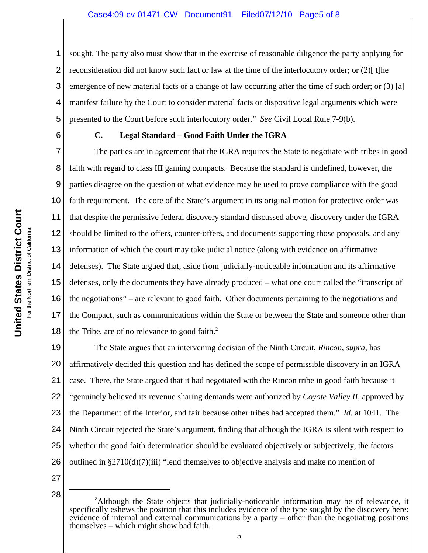1 2 3 4 5 sought. The party also must show that in the exercise of reasonable diligence the party applying for reconsideration did not know such fact or law at the time of the interlocutory order; or  $(2)$ [ t]he emergence of new material facts or a change of law occurring after the time of such order; or (3) [a] manifest failure by the Court to consider material facts or dispositive legal arguments which were presented to the Court before such interlocutory order." *See* Civil Local Rule 7-9(b).

6

# **C. Legal Standard – Good Faith Under the IGRA**

7 8 9 10 11 12 13 14 15 16 17 18 The parties are in agreement that the IGRA requires the State to negotiate with tribes in good faith with regard to class III gaming compacts. Because the standard is undefined, however, the parties disagree on the question of what evidence may be used to prove compliance with the good faith requirement. The core of the State's argument in its original motion for protective order was that despite the permissive federal discovery standard discussed above, discovery under the IGRA should be limited to the offers, counter-offers, and documents supporting those proposals, and any information of which the court may take judicial notice (along with evidence on affirmative defenses). The State argued that, aside from judicially-noticeable information and its affirmative defenses, only the documents they have already produced – what one court called the "transcript of the negotiations" – are relevant to good faith. Other documents pertaining to the negotiations and the Compact, such as communications within the State or between the State and someone other than the Tribe, are of no relevance to good faith. $2$ 

19 20 21 22 23 24 25 26 The State argues that an intervening decision of the Ninth Circuit, *Rincon, supra*, has affirmatively decided this question and has defined the scope of permissible discovery in an IGRA case. There, the State argued that it had negotiated with the Rincon tribe in good faith because it "genuinely believed its revenue sharing demands were authorized by *Coyote Valley II*, approved by the Department of the Interior, and fair because other tribes had accepted them." *Id.* at 1041. The Ninth Circuit rejected the State's argument, finding that although the IGRA is silent with respect to whether the good faith determination should be evaluated objectively or subjectively, the factors outlined in  $\S 2710(d)(7)(iii)$  "lend themselves to objective analysis and make no mention of

- 27
- 28 <sup>2</sup>

<sup>&</sup>lt;sup>2</sup>Although the State objects that judicially-noticeable information may be of relevance, it specifically eshews the position that this includes evidence of the type sought by the discovery here: evidence of internal and external communications by a party – other than the negotiating positions themselves – which might show bad faith.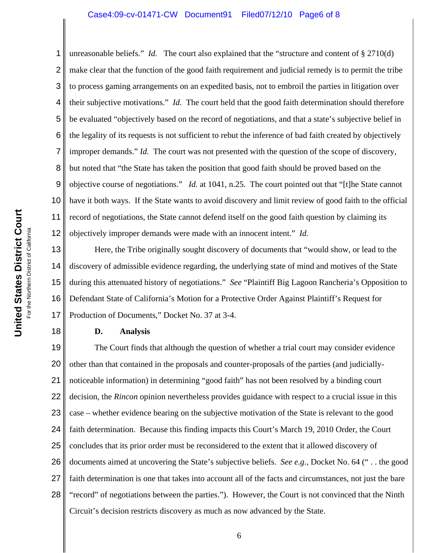### Case4:09-cv-01471-CW Document91 Filed07/12/10 Page6 of 8

1 2 3 4 5 6 7 8 9 10 11 12 unreasonable beliefs." *Id.* The court also explained that the "structure and content of § 2710(d) make clear that the function of the good faith requirement and judicial remedy is to permit the tribe to process gaming arrangements on an expedited basis, not to embroil the parties in litigation over their subjective motivations." *Id.* The court held that the good faith determination should therefore be evaluated "objectively based on the record of negotiations, and that a state's subjective belief in the legality of its requests is not sufficient to rebut the inference of bad faith created by objectively improper demands." *Id.* The court was not presented with the question of the scope of discovery, but noted that "the State has taken the position that good faith should be proved based on the objective course of negotiations." *Id.* at 1041, n.25. The court pointed out that "[t]he State cannot have it both ways. If the State wants to avoid discovery and limit review of good faith to the official record of negotiations, the State cannot defend itself on the good faith question by claiming its objectively improper demands were made with an innocent intent." *Id.*

13 14 15 16 17 Here, the Tribe originally sought discovery of documents that "would show, or lead to the discovery of admissible evidence regarding, the underlying state of mind and motives of the State during this attenuated history of negotiations." *See* "Plaintiff Big Lagoon Rancheria's Opposition to Defendant State of California's Motion for a Protective Order Against Plaintiff's Request for Production of Documents," Docket No. 37 at 3-4.

# **D. Analysis**

19 20 21 22 23 24 25 26 27 28 The Court finds that although the question of whether a trial court may consider evidence other than that contained in the proposals and counter-proposals of the parties (and judiciallynoticeable information) in determining "good faith" has not been resolved by a binding court decision, the *Rincon* opinion nevertheless provides guidance with respect to a crucial issue in this case – whether evidence bearing on the subjective motivation of the State is relevant to the good faith determination. Because this finding impacts this Court's March 19, 2010 Order, the Court concludes that its prior order must be reconsidered to the extent that it allowed discovery of documents aimed at uncovering the State's subjective beliefs. *See e.g.,* Docket No. 64 (" . . the good faith determination is one that takes into account all of the facts and circumstances, not just the bare "record" of negotiations between the parties."). However, the Court is not convinced that the Ninth Circuit's decision restricts discovery as much as now advanced by the State.

18

6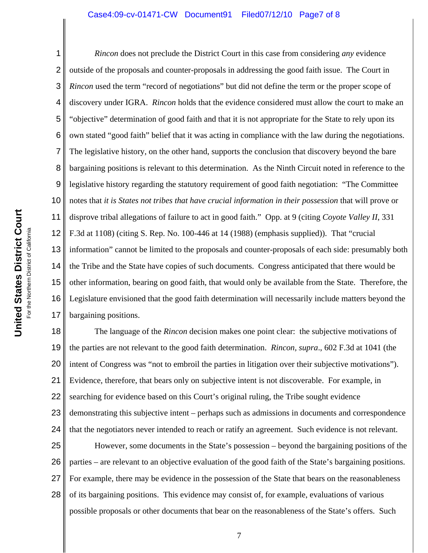### Case4:09-cv-01471-CW Document91 Filed07/12/10 Page7 of 8

1 2 3 4 5 6 7 8 9 10 11 12 13 14 15 16 17 *Rincon* does not preclude the District Court in this case from considering *any* evidence outside of the proposals and counter-proposals in addressing the good faith issue. The Court in *Rincon* used the term "record of negotiations" but did not define the term or the proper scope of discovery under IGRA. *Rincon* holds that the evidence considered must allow the court to make an "objective" determination of good faith and that it is not appropriate for the State to rely upon its own stated "good faith" belief that it was acting in compliance with the law during the negotiations. The legislative history, on the other hand, supports the conclusion that discovery beyond the bare bargaining positions is relevant to this determination. As the Ninth Circuit noted in reference to the legislative history regarding the statutory requirement of good faith negotiation: "The Committee notes that *it is States not tribes that have crucial information in their possession* that will prove or disprove tribal allegations of failure to act in good faith." Opp. at 9 (citing *Coyote Valley II*, 331 F.3d at 1108) (citing S. Rep. No. 100-446 at 14 (1988) (emphasis supplied)). That "crucial information" cannot be limited to the proposals and counter-proposals of each side: presumably both the Tribe and the State have copies of such documents. Congress anticipated that there would be other information, bearing on good faith, that would only be available from the State. Therefore, the Legislature envisioned that the good faith determination will necessarily include matters beyond the bargaining positions.

18 19 20 21 22 23 24 25 The language of the *Rincon* decision makes one point clear: the subjective motivations of the parties are not relevant to the good faith determination. *Rincon, supra*., 602 F.3d at 1041 (the intent of Congress was "not to embroil the parties in litigation over their subjective motivations"). Evidence, therefore, that bears only on subjective intent is not discoverable. For example, in searching for evidence based on this Court's original ruling, the Tribe sought evidence demonstrating this subjective intent – perhaps such as admissions in documents and correspondence that the negotiators never intended to reach or ratify an agreement. Such evidence is not relevant. However, some documents in the State's possession – beyond the bargaining positions of the

26 27 28 parties – are relevant to an objective evaluation of the good faith of the State's bargaining positions. For example, there may be evidence in the possession of the State that bears on the reasonableness of its bargaining positions. This evidence may consist of, for example, evaluations of various possible proposals or other documents that bear on the reasonableness of the State's offers. Such